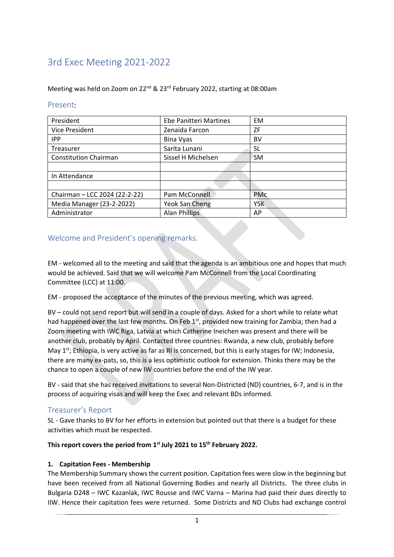# 3rd Exec Meeting 2021-2022

#### Meeting was held on Zoom on 22nd & 23rd February 2022, starting at 08:00am

#### Present:

| President                     | <b>Ebe Panitteri Martines</b> | <b>EM</b>  |  |
|-------------------------------|-------------------------------|------------|--|
| Vice President                | Zenaida Farcon                | <b>ZF</b>  |  |
| <b>IPP</b>                    | Bina Vyas                     | BV         |  |
| Treasurer                     | Sarita Lunani                 | SL         |  |
| <b>Constitution Chairman</b>  | Sissel H Michelsen            | <b>SM</b>  |  |
|                               |                               |            |  |
| In Attendance                 |                               |            |  |
|                               |                               |            |  |
| Chairman - LCC 2024 (22-2-22) | Pam McConnell                 | <b>PMc</b> |  |
| Media Manager (23-2-2022)     | Yeok San Cheng                | <b>YSK</b> |  |
| Administrator                 | Alan Phillips                 | AP         |  |

# Welcome and President's opening remarks.

EM - welcomed all to the meeting and said that the agenda is an ambitious one and hopes that much would be achieved. Said that we will welcome Pam McConnell from the Local Coordinating Committee (LCC) at 11:00.

EM - proposed the acceptance of the minutes of the previous meeting, which was agreed.

BV – could not send report but will send in a couple of days. Asked for a short while to relate what had happened over the last few months. On Feb 1<sup>st</sup>, provided new training for Zambia; then had a Zoom meeting with IWC Riga, Latvia at which Catherine Ineichen was present and there will be another club, probably by April. Contacted three countries: Rwanda, a new club, probably before May  $1^{st}$ ; Ethiopia, is very active as far as RI is concerned, but this is early stages for IW; Indonesia, there are many ex-pats, so, this is a less optimistic outlook for extension. Thinks there may be the chance to open a couple of new IW countries before the end of the IW year.

BV - said that she has received invitations to several Non-Districted (ND) countries, 6-7, and is in the process of acquiring visas and will keep the Exec and relevant BDs informed.

### Treasurer's Report

SL - Gave thanks to BV for her efforts in extension but pointed out that there is a budget for these activities which must be respected.

#### **This report covers the period from 1st July 2021 to 15th February 2022.**

### **1. Capitation Fees - Membership**

The Membership Summary shows the current position. Capitation fees were slow in the beginning but have been received from all National Governing Bodies and nearly all Districts. The three clubs in Bulgaria D248 – IWC Kazanlak, IWC Rousse and IWC Varna – Marina had paid their dues directly to IIW. Hence their capitation fees were returned. Some Districts and ND Clubs had exchange control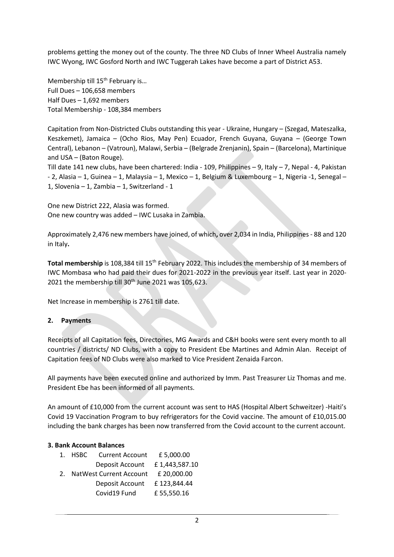problems getting the money out of the county. The three ND Clubs of Inner Wheel Australia namely IWC Wyong, IWC Gosford North and IWC Tuggerah Lakes have become a part of District A53.

Membership till 15<sup>th</sup> February is... Full Dues – 106,658 members Half Dues – 1,692 members Total Membership - 108,384 members

Capitation from Non-Districted Clubs outstanding this year - Ukraine, Hungary – (Szegad, Mateszalka, Keszkemet), Jamaica – (Ocho Rios, May Pen) Ecuador, French Guyana, Guyana – (George Town Central), Lebanon – (Vatroun), Malawi, Serbia – (Belgrade Zrenjanin), Spain – (Barcelona), Martinique and USA – (Baton Rouge).

Till date 141 new clubs, have been chartered: India - 109, Philippines – 9, Italy – 7, Nepal - 4, Pakistan - 2, Alasia – 1, Guinea – 1, Malaysia – 1, Mexico – 1, Belgium & Luxembourg – 1, Nigeria -1, Senegal – 1, Slovenia – 1, Zambia – 1, Switzerland - 1

One new District 222, Alasia was formed. One new country was added – IWC Lusaka in Zambia.

Approximately 2,476 new members have joined, of which**,** over 2,034 in India, Philippines - 88 and 120 in Italy**.**

**Total membership** is 108,384 till 15<sup>th</sup> February 2022. This includes the membership of 34 members of IWC Mombasa who had paid their dues for 2021-2022 in the previous year itself. Last year in 2020- 2021 the membership till 30<sup>th</sup> June 2021 was 105,623.

Net Increase in membership is 2761 till date.

### **2. Payments**

Receipts of all Capitation fees, Directories, MG Awards and C&H books were sent every month to all countries / districts/ ND Clubs, with a copy to President Ebe Martines and Admin Alan. Receipt of Capitation fees of ND Clubs were also marked to Vice President Zenaida Farcon.

All payments have been executed online and authorized by Imm. Past Treasurer Liz Thomas and me. President Ebe has been informed of all payments.

An amount of £10,000 from the current account was sent to HAS (Hospital Albert Schweitzer) -Haiti's Covid 19 Vaccination Program to buy refrigerators for the Covid vaccine. The amount of £10,015.00 including the bank charges has been now transferred from the Covid account to the current account.

#### **3. Bank Account Balances**

| $\mathbf{1}$ . | HSBC                       | <b>Current Account</b> | £ 5,000.00    |
|----------------|----------------------------|------------------------|---------------|
|                |                            | Deposit Account        | £1,443,587.10 |
|                | 2. NatWest Current Account |                        | £ 20,000.00   |
|                |                            | Deposit Account        | £123,844.44   |
|                |                            | Covid19 Fund           | £55,550.16    |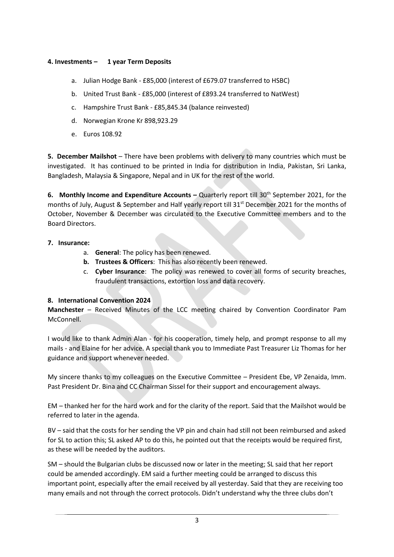#### **4. Investments – 1 year Term Deposits**

- a. Julian Hodge Bank £85,000 (interest of £679.07 transferred to HSBC)
- b. United Trust Bank £85,000 (interest of £893.24 transferred to NatWest)
- c. Hampshire Trust Bank £85,845.34 (balance reinvested)
- d. Norwegian Krone Kr 898,923.29
- e. Euros 108.92

**5. December Mailshot** – There have been problems with delivery to many countries which must be investigated. It has continued to be printed in India for distribution in India, Pakistan, Sri Lanka, Bangladesh, Malaysia & Singapore, Nepal and in UK for the rest of the world.

**6. Monthly Income and Expenditure Accounts – Quarterly report till 30<sup>th</sup> September 2021, for the** months of July, August & September and Half yearly report till 31<sup>st</sup> December 2021 for the months of October, November & December was circulated to the Executive Committee members and to the Board Directors.

- **7. Insurance:**
	- a. **General**: The policy has been renewed.
	- **b. Trustees & Officers**: This has also recently been renewed.
	- c. **Cyber Insurance**: The policy was renewed to cover all forms of security breaches, fraudulent transactions, extortion loss and data recovery.

#### **8. International Convention 2024**

**Manchester** – Received Minutes of the LCC meeting chaired by Convention Coordinator Pam McConnell.

I would like to thank Admin Alan - for his cooperation, timely help, and prompt response to all my mails - and Elaine for her advice. A special thank you to Immediate Past Treasurer Liz Thomas for her guidance and support whenever needed.

My sincere thanks to my colleagues on the Executive Committee – President Ebe, VP Zenaida, Imm. Past President Dr. Bina and CC Chairman Sissel for their support and encouragement always.

EM – thanked her for the hard work and for the clarity of the report. Said that the Mailshot would be referred to later in the agenda.

BV – said that the costs for her sending the VP pin and chain had still not been reimbursed and asked for SL to action this; SL asked AP to do this, he pointed out that the receipts would be required first, as these will be needed by the auditors.

SM – should the Bulgarian clubs be discussed now or later in the meeting; SL said that her report could be amended accordingly. EM said a further meeting could be arranged to discuss this important point, especially after the email received by all yesterday. Said that they are receiving too many emails and not through the correct protocols. Didn't understand why the three clubs don't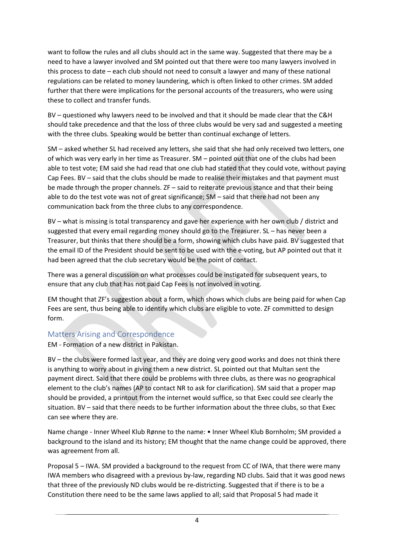want to follow the rules and all clubs should act in the same way. Suggested that there may be a need to have a lawyer involved and SM pointed out that there were too many lawyers involved in this process to date – each club should not need to consult a lawyer and many of these national regulations can be related to money laundering, which is often linked to other crimes. SM added further that there were implications for the personal accounts of the treasurers, who were using these to collect and transfer funds.

BV – questioned why lawyers need to be involved and that it should be made clear that the C&H should take precedence and that the loss of three clubs would be very sad and suggested a meeting with the three clubs. Speaking would be better than continual exchange of letters.

SM – asked whether SL had received any letters, she said that she had only received two letters, one of which was very early in her time as Treasurer. SM – pointed out that one of the clubs had been able to test vote; EM said she had read that one club had stated that they could vote, without paying Cap Fees. BV – said that the clubs should be made to realise their mistakes and that payment must be made through the proper channels. ZF – said to reiterate previous stance and that their being able to do the test vote was not of great significance; SM – said that there had not been any communication back from the three clubs to any correspondence.

BV – what is missing is total transparency and gave her experience with her own club / district and suggested that every email regarding money should go to the Treasurer. SL – has never been a Treasurer, but thinks that there should be a form, showing which clubs have paid. BV suggested that the email ID of the President should be sent to be used with the e-voting, but AP pointed out that it had been agreed that the club secretary would be the point of contact.

There was a general discussion on what processes could be instigated for subsequent years, to ensure that any club that has not paid Cap Fees is not involved in voting.

EM thought that ZF's suggestion about a form, which shows which clubs are being paid for when Cap Fees are sent, thus being able to identify which clubs are eligible to vote. ZF committed to design form.

### Matters Arising and Correspondence

EM - Formation of a new district in Pakistan.

BV – the clubs were formed last year, and they are doing very good works and does not think there is anything to worry about in giving them a new district. SL pointed out that Multan sent the payment direct. Said that there could be problems with three clubs, as there was no geographical element to the club's names (AP to contact NR to ask for clarification). SM said that a proper map should be provided, a printout from the internet would suffice, so that Exec could see clearly the situation. BV – said that there needs to be further information about the three clubs, so that Exec can see where they are.

Name change - Inner Wheel Klub Rønne to the name: • Inner Wheel Klub Bornholm; SM provided a background to the island and its history; EM thought that the name change could be approved, there was agreement from all.

Proposal 5 – IWA. SM provided a background to the request from CC of IWA, that there were many IWA members who disagreed with a previous by-law, regarding ND clubs. Said that it was good news that three of the previously ND clubs would be re-districting. Suggested that if there is to be a Constitution there need to be the same laws applied to all; said that Proposal 5 had made it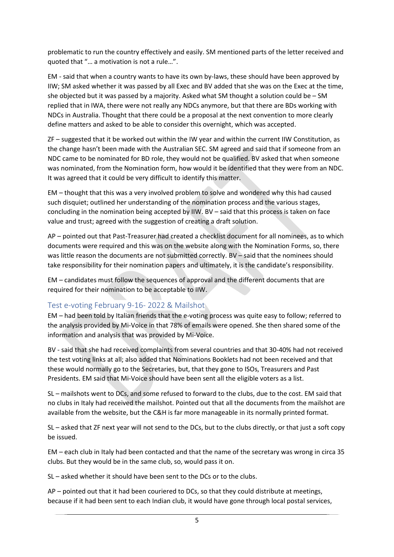problematic to run the country effectively and easily. SM mentioned parts of the letter received and quoted that "… a motivation is not a rule…".

EM - said that when a country wants to have its own by-laws, these should have been approved by IIW; SM asked whether it was passed by all Exec and BV added that she was on the Exec at the time, she objected but it was passed by a majority. Asked what SM thought a solution could be – SM replied that in IWA, there were not really any NDCs anymore, but that there are BDs working with NDCs in Australia. Thought that there could be a proposal at the next convention to more clearly define matters and asked to be able to consider this overnight, which was accepted.

ZF – suggested that it be worked out within the IW year and within the current IIW Constitution, as the change hasn't been made with the Australian SEC. SM agreed and said that if someone from an NDC came to be nominated for BD role, they would not be qualified. BV asked that when someone was nominated, from the Nomination form, how would it be identified that they were from an NDC. It was agreed that it could be very difficult to identify this matter.

EM – thought that this was a very involved problem to solve and wondered why this had caused such disquiet; outlined her understanding of the nomination process and the various stages, concluding in the nomination being accepted by IIW. BV – said that this process is taken on face value and trust; agreed with the suggestion of creating a draft solution.

AP – pointed out that Past-Treasurer had created a checklist document for all nominees, as to which documents were required and this was on the website along with the Nomination Forms, so, there was little reason the documents are not submitted correctly. BV – said that the nominees should take responsibility for their nomination papers and ultimately, it is the candidate's responsibility.

EM – candidates must follow the sequences of approval and the different documents that are required for their nomination to be acceptable to IIW.

### Test e-voting February 9-16- 2022 & Mailshot

EM – had been told by Italian friends that the e-voting process was quite easy to follow; referred to the analysis provided by Mi-Voice in that 78% of emails were opened. She then shared some of the information and analysis that was provided by Mi-Voice.

BV - said that she had received complaints from several countries and that 30-40% had not received the test voting links at all; also added that Nominations Booklets had not been received and that these would normally go to the Secretaries, but, that they gone to ISOs, Treasurers and Past Presidents. EM said that Mi-Voice should have been sent all the eligible voters as a list.

SL – mailshots went to DCs, and some refused to forward to the clubs, due to the cost. EM said that no clubs in Italy had received the mailshot. Pointed out that all the documents from the mailshot are available from the website, but the C&H is far more manageable in its normally printed format.

SL – asked that ZF next year will not send to the DCs, but to the clubs directly, or that just a soft copy be issued.

EM – each club in Italy had been contacted and that the name of the secretary was wrong in circa 35 clubs. But they would be in the same club, so, would pass it on.

SL – asked whether it should have been sent to the DCs or to the clubs.

AP – pointed out that it had been couriered to DCs, so that they could distribute at meetings, because if it had been sent to each Indian club, it would have gone through local postal services,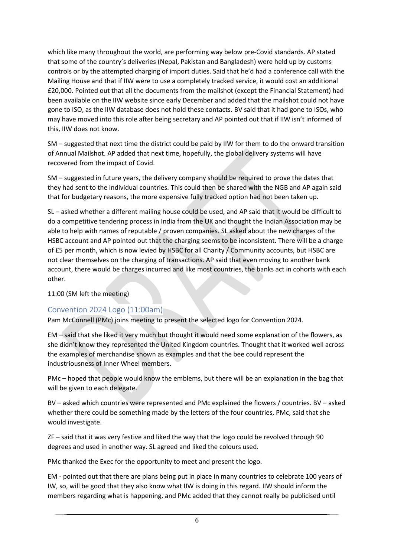which like many throughout the world, are performing way below pre-Covid standards. AP stated that some of the country's deliveries (Nepal, Pakistan and Bangladesh) were held up by customs controls or by the attempted charging of import duties. Said that he'd had a conference call with the Mailing House and that if IIW were to use a completely tracked service, it would cost an additional £20,000. Pointed out that all the documents from the mailshot (except the Financial Statement) had been available on the IIW website since early December and added that the mailshot could not have gone to ISO, as the IIW database does not hold these contacts. BV said that it had gone to ISOs, who may have moved into this role after being secretary and AP pointed out that if IIW isn't informed of this, IIW does not know.

SM – suggested that next time the district could be paid by IIW for them to do the onward transition of Annual Mailshot. AP added that next time, hopefully, the global delivery systems will have recovered from the impact of Covid.

SM – suggested in future years, the delivery company should be required to prove the dates that they had sent to the individual countries. This could then be shared with the NGB and AP again said that for budgetary reasons, the more expensive fully tracked option had not been taken up.

SL – asked whether a different mailing house could be used, and AP said that it would be difficult to do a competitive tendering process in India from the UK and thought the Indian Association may be able to help with names of reputable / proven companies. SL asked about the new charges of the HSBC account and AP pointed out that the charging seems to be inconsistent. There will be a charge of £5 per month, which is now levied by HSBC for all Charity / Community accounts, but HSBC are not clear themselves on the charging of transactions. AP said that even moving to another bank account, there would be charges incurred and like most countries, the banks act in cohorts with each other.

11:00 (SM left the meeting)

# Convention 2024 Logo (11:00am)

Pam McConnell (PMc) joins meeting to present the selected logo for Convention 2024.

EM – said that she liked it very much but thought it would need some explanation of the flowers, as she didn't know they represented the United Kingdom countries. Thought that it worked well across the examples of merchandise shown as examples and that the bee could represent the industriousness of Inner Wheel members.

PMc – hoped that people would know the emblems, but there will be an explanation in the bag that will be given to each delegate.

BV – asked which countries were represented and PMc explained the flowers / countries. BV – asked whether there could be something made by the letters of the four countries, PMc, said that she would investigate.

ZF – said that it was very festive and liked the way that the logo could be revolved through 90 degrees and used in another way. SL agreed and liked the colours used.

PMc thanked the Exec for the opportunity to meet and present the logo.

EM - pointed out that there are plans being put in place in many countries to celebrate 100 years of IW, so, will be good that they also know what IIW is doing in this regard. IIW should inform the members regarding what is happening, and PMc added that they cannot really be publicised until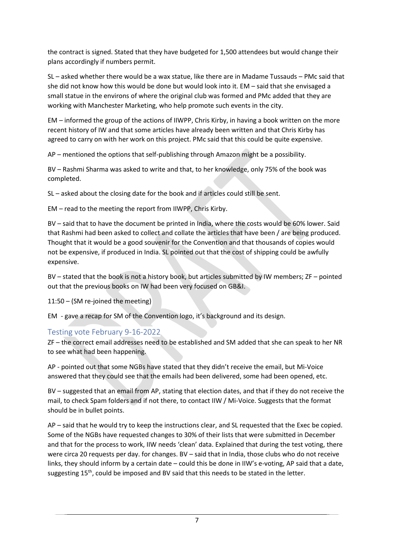the contract is signed. Stated that they have budgeted for 1,500 attendees but would change their plans accordingly if numbers permit.

SL – asked whether there would be a wax statue, like there are in Madame Tussauds – PMc said that she did not know how this would be done but would look into it. EM – said that she envisaged a small statue in the environs of where the original club was formed and PMc added that they are working with Manchester Marketing, who help promote such events in the city.

EM – informed the group of the actions of IIWPP, Chris Kirby, in having a book written on the more recent history of IW and that some articles have already been written and that Chris Kirby has agreed to carry on with her work on this project. PMc said that this could be quite expensive.

AP – mentioned the options that self-publishing through Amazon might be a possibility.

BV – Rashmi Sharma was asked to write and that, to her knowledge, only 75% of the book was completed.

SL – asked about the closing date for the book and if articles could still be sent.

EM – read to the meeting the report from IIWPP, Chris Kirby.

BV – said that to have the document be printed in India, where the costs would be 60% lower. Said that Rashmi had been asked to collect and collate the articles that have been / are being produced. Thought that it would be a good souvenir for the Convention and that thousands of copies would not be expensive, if produced in India. SL pointed out that the cost of shipping could be awfully expensive.

BV – stated that the book is not a history book, but articles submitted by IW members; ZF – pointed out that the previous books on IW had been very focused on GB&I.

11:50 – (SM re-joined the meeting)

EM - gave a recap for SM of the Convention logo, it's background and its design.

# Testing vote February 9-16-2022

ZF – the correct email addresses need to be established and SM added that she can speak to her NR to see what had been happening.

AP - pointed out that some NGBs have stated that they didn't receive the email, but Mi-Voice answered that they could see that the emails had been delivered, some had been opened, etc.

BV – suggested that an email from AP, stating that election dates, and that if they do not receive the mail, to check Spam folders and if not there, to contact IIW / Mi-Voice. Suggests that the format should be in bullet points.

AP – said that he would try to keep the instructions clear, and SL requested that the Exec be copied. Some of the NGBs have requested changes to 30% of their lists that were submitted in December and that for the process to work, IIW needs 'clean' data. Explained that during the test voting, there were circa 20 requests per day. for changes. BV – said that in India, those clubs who do not receive links, they should inform by a certain date – could this be done in IIW's e-voting, AP said that a date, suggesting  $15<sup>th</sup>$ , could be imposed and BV said that this needs to be stated in the letter.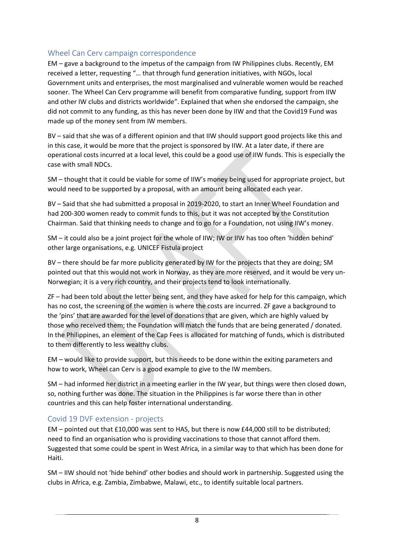### Wheel Can Cerv campaign correspondence

EM – gave a background to the impetus of the campaign from IW Philippines clubs. Recently, EM received a letter, requesting "… that through fund generation initiatives, with NGOs, local Government units and enterprises, the most marginalised and vulnerable women would be reached sooner. The Wheel Can Cerv programme will benefit from comparative funding, support from IIW and other IW clubs and districts worldwide". Explained that when she endorsed the campaign, she did not commit to any funding, as this has never been done by IIW and that the Covid19 Fund was made up of the money sent from IW members.

BV – said that she was of a different opinion and that IIW should support good projects like this and in this case, it would be more that the project is sponsored by IIW. At a later date, if there are operational costs incurred at a local level, this could be a good use of IIW funds. This is especially the case with small NDCs.

SM – thought that it could be viable for some of IIW's money being used for appropriate project, but would need to be supported by a proposal, with an amount being allocated each year.

BV – Said that she had submitted a proposal in 2019-2020, to start an Inner Wheel Foundation and had 200-300 women ready to commit funds to this, but it was not accepted by the Constitution Chairman. Said that thinking needs to change and to go for a Foundation, not using IIW's money.

SM – it could also be a joint project for the whole of IIW; IW or IIW has too often 'hidden behind' other large organisations, e.g. UNICEF Fistula project

BV – there should be far more publicity generated by IW for the projects that they are doing; SM pointed out that this would not work in Norway, as they are more reserved, and it would be very un-Norwegian; it is a very rich country, and their projects tend to look internationally.

ZF – had been told about the letter being sent, and they have asked for help for this campaign, which has no cost, the screening of the women is where the costs are incurred. ZF gave a background to the 'pins' that are awarded for the level of donations that are given, which are highly valued by those who received them; the Foundation will match the funds that are being generated / donated. In the Philippines, an element of the Cap Fees is allocated for matching of funds, which is distributed to them differently to less wealthy clubs.

EM – would like to provide support, but this needs to be done within the exiting parameters and how to work, Wheel can Cerv is a good example to give to the IW members.

SM – had informed her district in a meeting earlier in the IW year, but things were then closed down, so, nothing further was done. The situation in the Philippines is far worse there than in other countries and this can help foster international understanding.

### Covid 19 DVF extension - projects

EM – pointed out that £10,000 was sent to HAS, but there is now £44,000 still to be distributed; need to find an organisation who is providing vaccinations to those that cannot afford them. Suggested that some could be spent in West Africa, in a similar way to that which has been done for Haiti.

SM – IIW should not 'hide behind' other bodies and should work in partnership. Suggested using the clubs in Africa, e.g. Zambia, Zimbabwe, Malawi, etc., to identify suitable local partners.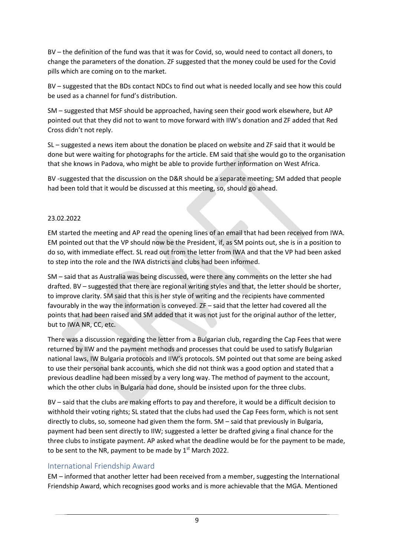BV – the definition of the fund was that it was for Covid, so, would need to contact all doners, to change the parameters of the donation. ZF suggested that the money could be used for the Covid pills which are coming on to the market.

BV – suggested that the BDs contact NDCs to find out what is needed locally and see how this could be used as a channel for fund's distribution.

SM – suggested that MSF should be approached, having seen their good work elsewhere, but AP pointed out that they did not to want to move forward with IIW's donation and ZF added that Red Cross didn't not reply.

SL – suggested a news item about the donation be placed on website and ZF said that it would be done but were waiting for photographs for the article. EM said that she would go to the organisation that she knows in Padova, who might be able to provide further information on West Africa.

BV -suggested that the discussion on the D&R should be a separate meeting; SM added that people had been told that it would be discussed at this meeting, so, should go ahead.

### 23.02.2022

EM started the meeting and AP read the opening lines of an email that had been received from IWA. EM pointed out that the VP should now be the President, if, as SM points out, she is in a position to do so, with immediate effect. SL read out from the letter from IWA and that the VP had been asked to step into the role and the IWA districts and clubs had been informed.

SM – said that as Australia was being discussed, were there any comments on the letter she had drafted. BV – suggested that there are regional writing styles and that, the letter should be shorter, to improve clarity. SM said that this is her style of writing and the recipients have commented favourably in the way the information is conveyed. ZF – said that the letter had covered all the points that had been raised and SM added that it was not just for the original author of the letter, but to IWA NR, CC, etc.

There was a discussion regarding the letter from a Bulgarian club, regarding the Cap Fees that were returned by IIW and the payment methods and processes that could be used to satisfy Bulgarian national laws, IW Bulgaria protocols and IIW's protocols. SM pointed out that some are being asked to use their personal bank accounts, which she did not think was a good option and stated that a previous deadline had been missed by a very long way. The method of payment to the account, which the other clubs in Bulgaria had done, should be insisted upon for the three clubs.

BV – said that the clubs are making efforts to pay and therefore, it would be a difficult decision to withhold their voting rights; SL stated that the clubs had used the Cap Fees form, which is not sent directly to clubs, so, someone had given them the form. SM – said that previously in Bulgaria, payment had been sent directly to IIW; suggested a letter be drafted giving a final chance for the three clubs to instigate payment. AP asked what the deadline would be for the payment to be made, to be sent to the NR, payment to be made by  $1<sup>st</sup>$  March 2022.

### International Friendship Award

EM – informed that another letter had been received from a member, suggesting the International Friendship Award, which recognises good works and is more achievable that the MGA. Mentioned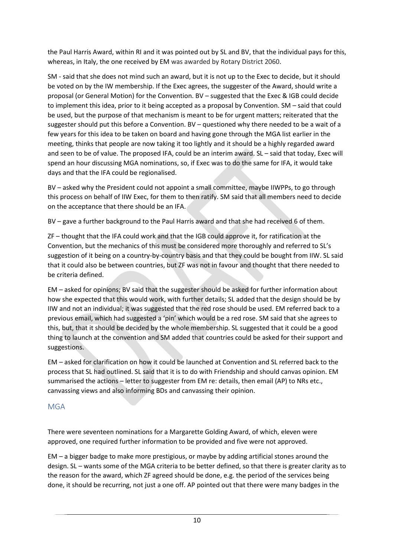the Paul Harris Award, within RI and it was pointed out by SL and BV, that the individual pays for this, whereas, in Italy, the one received by EM was awarded by Rotary District 2060.

SM - said that she does not mind such an award, but it is not up to the Exec to decide, but it should be voted on by the IW membership. If the Exec agrees, the suggester of the Award, should write a proposal (or General Motion) for the Convention. BV – suggested that the Exec & IGB could decide to implement this idea, prior to it being accepted as a proposal by Convention. SM – said that could be used, but the purpose of that mechanism is meant to be for urgent matters; reiterated that the suggester should put this before a Convention. BV – questioned why there needed to be a wait of a few years for this idea to be taken on board and having gone through the MGA list earlier in the meeting, thinks that people are now taking it too lightly and it should be a highly regarded award and seen to be of value. The proposed IFA, could be an interim award. SL – said that today, Exec will spend an hour discussing MGA nominations, so, if Exec was to do the same for IFA, it would take days and that the IFA could be regionalised.

BV – asked why the President could not appoint a small committee, maybe IIWPPs, to go through this process on behalf of IIW Exec, for them to then ratify. SM said that all members need to decide on the acceptance that there should be an IFA.

BV – gave a further background to the Paul Harris award and that she had received 6 of them.

ZF – thought that the IFA could work and that the IGB could approve it, for ratification at the Convention, but the mechanics of this must be considered more thoroughly and referred to SL's suggestion of it being on a country-by-country basis and that they could be bought from IIW. SL said that it could also be between countries, but ZF was not in favour and thought that there needed to be criteria defined.

EM – asked for opinions; BV said that the suggester should be asked for further information about how she expected that this would work, with further details; SL added that the design should be by IIW and not an individual; it was suggested that the red rose should be used. EM referred back to a previous email, which had suggested a 'pin' which would be a red rose. SM said that she agrees to this, but, that it should be decided by the whole membership. SL suggested that it could be a good thing to launch at the convention and SM added that countries could be asked for their support and suggestions.

EM – asked for clarification on how it could be launched at Convention and SL referred back to the process that SL had outlined. SL said that it is to do with Friendship and should canvas opinion. EM summarised the actions – letter to suggester from EM re: details, then email (AP) to NRs etc., canvassing views and also informing BDs and canvassing their opinion.

# MGA

There were seventeen nominations for a Margarette Golding Award, of which, eleven were approved, one required further information to be provided and five were not approved.

EM – a bigger badge to make more prestigious, or maybe by adding artificial stones around the design. SL – wants some of the MGA criteria to be better defined, so that there is greater clarity as to the reason for the award, which ZF agreed should be done, e.g. the period of the services being done, it should be recurring, not just a one off. AP pointed out that there were many badges in the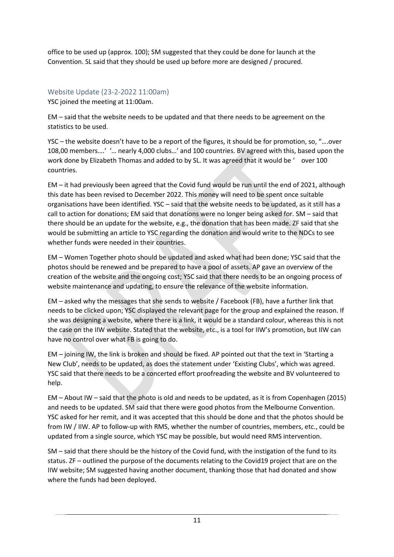office to be used up (approx. 100); SM suggested that they could be done for launch at the Convention. SL said that they should be used up before more are designed / procured.

Website Update (23-2-2022 11:00am) YSC joined the meeting at 11:00am.

EM – said that the website needs to be updated and that there needs to be agreement on the statistics to be used.

YSC – the website doesn't have to be a report of the figures, it should be for promotion, so, "….over 108,00 members….' '… nearly 4,000 clubs…' and 100 countries. BV agreed with this, based upon the work done by Elizabeth Thomas and added to by SL. It was agreed that it would be ' over 100 countries.

EM – it had previously been agreed that the Covid fund would be run until the end of 2021, although this date has been revised to December 2022. This money will need to be spent once suitable organisations have been identified. YSC – said that the website needs to be updated, as it still has a call to action for donations; EM said that donations were no longer being asked for. SM – said that there should be an update for the website, e.g., the donation that has been made. ZF said that she would be submitting an article to YSC regarding the donation and would write to the NDCs to see whether funds were needed in their countries.

EM – Women Together photo should be updated and asked what had been done; YSC said that the photos should be renewed and be prepared to have a pool of assets. AP gave an overview of the creation of the website and the ongoing cost; YSC said that there needs to be an ongoing process of website maintenance and updating, to ensure the relevance of the website information.

EM – asked why the messages that she sends to website / Facebook (FB), have a further link that needs to be clicked upon; YSC displayed the relevant page for the group and explained the reason. If she was designing a website, where there is a link, it would be a standard colour, whereas this is not the case on the IIW website. Stated that the website, etc., is a tool for IIW's promotion, but IIW can have no control over what FB is going to do.

EM – joining IW, the link is broken and should be fixed. AP pointed out that the text in 'Starting a New Club', needs to be updated, as does the statement under 'Existing Clubs', which was agreed. YSC said that there needs to be a concerted effort proofreading the website and BV volunteered to help.

EM – About IW – said that the photo is old and needs to be updated, as it is from Copenhagen (2015) and needs to be updated. SM said that there were good photos from the Melbourne Convention. YSC asked for her remit, and it was accepted that this should be done and that the photos should be from IW / IIW. AP to follow-up with RMS, whether the number of countries, members, etc., could be updated from a single source, which YSC may be possible, but would need RMS intervention.

SM – said that there should be the history of the Covid fund, with the instigation of the fund to its status. ZF – outlined the purpose of the documents relating to the Covid19 project that are on the IIW website; SM suggested having another document, thanking those that had donated and show where the funds had been deployed.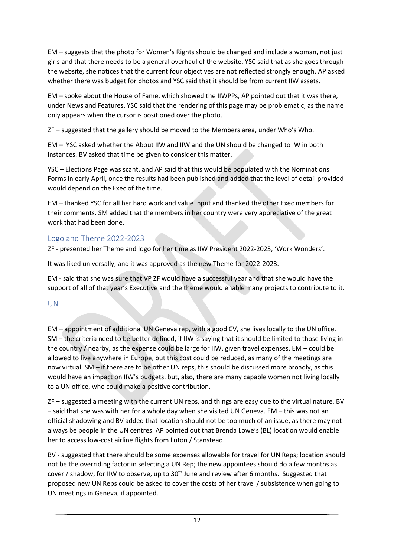EM – suggests that the photo for Women's Rights should be changed and include a woman, not just girls and that there needs to be a general overhaul of the website. YSC said that as she goes through the website, she notices that the current four objectives are not reflected strongly enough. AP asked whether there was budget for photos and YSC said that it should be from current IIW assets.

EM – spoke about the House of Fame, which showed the IIWPPs, AP pointed out that it was there, under News and Features. YSC said that the rendering of this page may be problematic, as the name only appears when the cursor is positioned over the photo.

ZF – suggested that the gallery should be moved to the Members area, under Who's Who.

EM – YSC asked whether the About IIW and IIW and the UN should be changed to IW in both instances. BV asked that time be given to consider this matter.

YSC – Elections Page was scant, and AP said that this would be populated with the Nominations Forms in early April, once the results had been published and added that the level of detail provided would depend on the Exec of the time.

EM – thanked YSC for all her hard work and value input and thanked the other Exec members for their comments. SM added that the members in her country were very appreciative of the great work that had been done.

# Logo and Theme 2022-2023

ZF - presented her Theme and logo for her time as IIW President 2022-2023, 'Work Wonders'.

It was liked universally, and it was approved as the new Theme for 2022-2023.

EM - said that she was sure that VP ZF would have a successful year and that she would have the support of all of that year's Executive and the theme would enable many projects to contribute to it.

# UN

EM – appointment of additional UN Geneva rep, with a good CV, she lives locally to the UN office. SM – the criteria need to be better defined, if IIW is saying that it should be limited to those living in the country / nearby, as the expense could be large for IIW, given travel expenses. EM – could be allowed to live anywhere in Europe, but this cost could be reduced, as many of the meetings are now virtual. SM – if there are to be other UN reps, this should be discussed more broadly, as this would have an impact on IIW's budgets, but, also, there are many capable women not living locally to a UN office, who could make a positive contribution.

ZF – suggested a meeting with the current UN reps, and things are easy due to the virtual nature. BV – said that she was with her for a whole day when she visited UN Geneva. EM – this was not an official shadowing and BV added that location should not be too much of an issue, as there may not always be people in the UN centres. AP pointed out that Brenda Lowe's (BL) location would enable her to access low-cost airline flights from Luton / Stanstead.

BV - suggested that there should be some expenses allowable for travel for UN Reps; location should not be the overriding factor in selecting a UN Rep; the new appointees should do a few months as cover / shadow, for IIW to observe, up to 30<sup>th</sup> June and review after 6 months. Suggested that proposed new UN Reps could be asked to cover the costs of her travel / subsistence when going to UN meetings in Geneva, if appointed.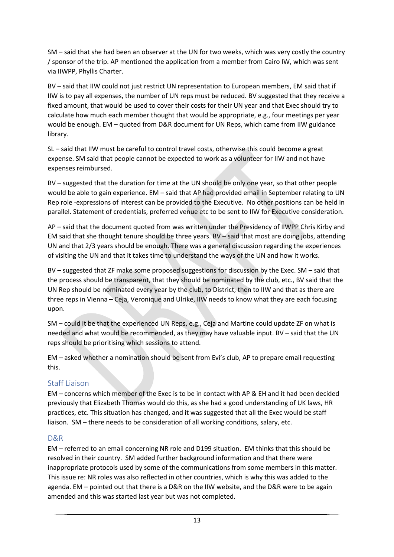SM – said that she had been an observer at the UN for two weeks, which was very costly the country / sponsor of the trip. AP mentioned the application from a member from Cairo IW, which was sent via IIWPP, Phyllis Charter.

BV – said that IIW could not just restrict UN representation to European members, EM said that if IIW is to pay all expenses, the number of UN reps must be reduced. BV suggested that they receive a fixed amount, that would be used to cover their costs for their UN year and that Exec should try to calculate how much each member thought that would be appropriate, e.g., four meetings per year would be enough. EM – quoted from D&R document for UN Reps, which came from IIW guidance library.

SL – said that IIW must be careful to control travel costs, otherwise this could become a great expense. SM said that people cannot be expected to work as a volunteer for IIW and not have expenses reimbursed.

BV – suggested that the duration for time at the UN should be only one year, so that other people would be able to gain experience. EM – said that AP had provided email in September relating to UN Rep role -expressions of interest can be provided to the Executive. No other positions can be held in parallel. Statement of credentials, preferred venue etc to be sent to IIW for Executive consideration.

AP – said that the document quoted from was written under the Presidency of IIWPP Chris Kirby and EM said that she thought tenure should be three years. BV – said that most are doing jobs, attending UN and that 2/3 years should be enough. There was a general discussion regarding the experiences of visiting the UN and that it takes time to understand the ways of the UN and how it works.

BV – suggested that ZF make some proposed suggestions for discussion by the Exec. SM – said that the process should be transparent, that they should be nominated by the club, etc., BV said that the UN Rep should be nominated every year by the club, to District, then to IIW and that as there are three reps in Vienna – Ceja, Veronique and Ulrike, IIW needs to know what they are each focusing upon.

SM – could it be that the experienced UN Reps, e.g., Ceja and Martine could update ZF on what is needed and what would be recommended, as they may have valuable input. BV – said that the UN reps should be prioritising which sessions to attend.

EM – asked whether a nomination should be sent from Evi's club, AP to prepare email requesting this.

### Staff Liaison

EM – concerns which member of the Exec is to be in contact with AP & EH and it had been decided previously that Elizabeth Thomas would do this, as she had a good understanding of UK laws, HR practices, etc. This situation has changed, and it was suggested that all the Exec would be staff liaison. SM – there needs to be consideration of all working conditions, salary, etc.

### D&R

EM – referred to an email concerning NR role and D199 situation. EM thinks that this should be resolved in their country. SM added further background information and that there were inappropriate protocols used by some of the communications from some members in this matter. This issue re: NR roles was also reflected in other countries, which is why this was added to the agenda. EM – pointed out that there is a D&R on the IIW website, and the D&R were to be again amended and this was started last year but was not completed.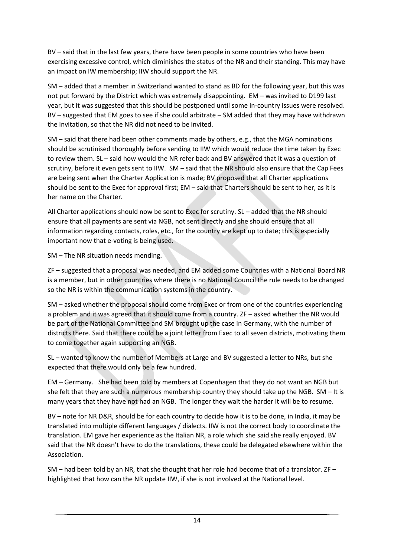BV – said that in the last few years, there have been people in some countries who have been exercising excessive control, which diminishes the status of the NR and their standing. This may have an impact on IW membership; IIW should support the NR.

SM – added that a member in Switzerland wanted to stand as BD for the following year, but this was not put forward by the District which was extremely disappointing. EM – was invited to D199 last year, but it was suggested that this should be postponed until some in-country issues were resolved. BV – suggested that EM goes to see if she could arbitrate – SM added that they may have withdrawn the invitation, so that the NR did not need to be invited.

SM – said that there had been other comments made by others, e.g., that the MGA nominations should be scrutinised thoroughly before sending to IIW which would reduce the time taken by Exec to review them. SL – said how would the NR refer back and BV answered that it was a question of scrutiny, before it even gets sent to IIW. SM – said that the NR should also ensure that the Cap Fees are being sent when the Charter Application is made; BV proposed that all Charter applications should be sent to the Exec for approval first; EM – said that Charters should be sent to her, as it is her name on the Charter.

All Charter applications should now be sent to Exec for scrutiny. SL – added that the NR should ensure that all payments are sent via NGB, not sent directly and she should ensure that all information regarding contacts, roles, etc., for the country are kept up to date; this is especially important now that e-voting is being used.

SM – The NR situation needs mending.

ZF – suggested that a proposal was needed, and EM added some Countries with a National Board NR is a member, but in other countries where there is no National Council the rule needs to be changed so the NR is within the communication systems in the country.

SM – asked whether the proposal should come from Exec or from one of the countries experiencing a problem and it was agreed that it should come from a country. ZF – asked whether the NR would be part of the National Committee and SM brought up the case in Germany, with the number of districts there. Said that there could be a joint letter from Exec to all seven districts, motivating them to come together again supporting an NGB.

SL – wanted to know the number of Members at Large and BV suggested a letter to NRs, but she expected that there would only be a few hundred.

EM – Germany. She had been told by members at Copenhagen that they do not want an NGB but she felt that they are such a numerous membership country they should take up the NGB. SM – It is many years that they have not had an NGB. The longer they wait the harder it will be to resume.

BV – note for NR D&R, should be for each country to decide how it is to be done, in India, it may be translated into multiple different languages / dialects. IIW is not the correct body to coordinate the translation. EM gave her experience as the Italian NR, a role which she said she really enjoyed. BV said that the NR doesn't have to do the translations, these could be delegated elsewhere within the Association.

SM – had been told by an NR, that she thought that her role had become that of a translator. ZF – highlighted that how can the NR update IIW, if she is not involved at the National level.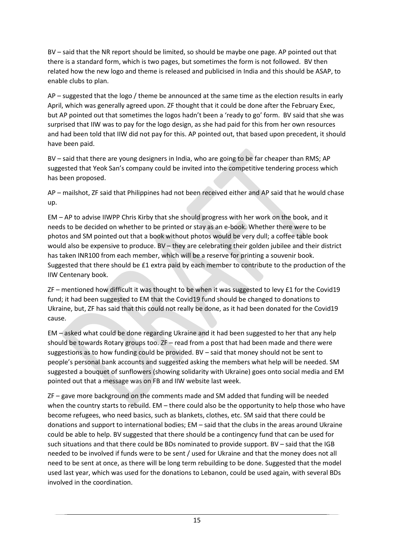BV – said that the NR report should be limited, so should be maybe one page. AP pointed out that there is a standard form, which is two pages, but sometimes the form is not followed. BV then related how the new logo and theme is released and publicised in India and this should be ASAP, to enable clubs to plan.

AP – suggested that the logo / theme be announced at the same time as the election results in early April, which was generally agreed upon. ZF thought that it could be done after the February Exec, but AP pointed out that sometimes the logos hadn't been a 'ready to go' form. BV said that she was surprised that IIW was to pay for the logo design, as she had paid for this from her own resources and had been told that IIW did not pay for this. AP pointed out, that based upon precedent, it should have been paid.

BV – said that there are young designers in India, who are going to be far cheaper than RMS; AP suggested that Yeok San's company could be invited into the competitive tendering process which has been proposed.

AP – mailshot, ZF said that Philippines had not been received either and AP said that he would chase up.

EM – AP to advise IIWPP Chris Kirby that she should progress with her work on the book, and it needs to be decided on whether to be printed or stay as an e-book. Whether there were to be photos and SM pointed out that a book without photos would be very dull; a coffee table book would also be expensive to produce. BV – they are celebrating their golden jubilee and their district has taken INR100 from each member, which will be a reserve for printing a souvenir book. Suggested that there should be £1 extra paid by each member to contribute to the production of the IIW Centenary book.

ZF – mentioned how difficult it was thought to be when it was suggested to levy £1 for the Covid19 fund; it had been suggested to EM that the Covid19 fund should be changed to donations to Ukraine, but, ZF has said that this could not really be done, as it had been donated for the Covid19 cause.

EM – asked what could be done regarding Ukraine and it had been suggested to her that any help should be towards Rotary groups too. ZF – read from a post that had been made and there were suggestions as to how funding could be provided. BV – said that money should not be sent to people's personal bank accounts and suggested asking the members what help will be needed. SM suggested a bouquet of sunflowers (showing solidarity with Ukraine) goes onto social media and EM pointed out that a message was on FB and IIW website last week.

ZF – gave more background on the comments made and SM added that funding will be needed when the country starts to rebuild. EM – there could also be the opportunity to help those who have become refugees, who need basics, such as blankets, clothes, etc. SM said that there could be donations and support to international bodies; EM – said that the clubs in the areas around Ukraine could be able to help. BV suggested that there should be a contingency fund that can be used for such situations and that there could be BDs nominated to provide support. BV – said that the IGB needed to be involved if funds were to be sent / used for Ukraine and that the money does not all need to be sent at once, as there will be long term rebuilding to be done. Suggested that the model used last year, which was used for the donations to Lebanon, could be used again, with several BDs involved in the coordination.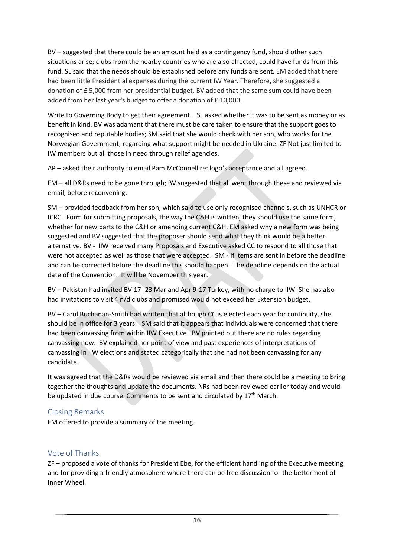BV – suggested that there could be an amount held as a contingency fund, should other such situations arise; clubs from the nearby countries who are also affected, could have funds from this fund. SL said that the needs should be established before any funds are sent. EM added that there had been little Presidential expenses during the current IW Year. Therefore, she suggested a donation of £ 5,000 from her presidential budget. BV added that the same sum could have been added from her last year's budget to offer a donation of £ 10,000.

Write to Governing Body to get their agreement. SL asked whether it was to be sent as money or as benefit in kind. BV was adamant that there must be care taken to ensure that the support goes to recognised and reputable bodies; SM said that she would check with her son, who works for the Norwegian Government, regarding what support might be needed in Ukraine. ZF Not just limited to IW members but all those in need through relief agencies.

AP – asked their authority to email Pam McConnell re: logo's acceptance and all agreed.

EM – all D&Rs need to be gone through; BV suggested that all went through these and reviewed via email, before reconvening.

SM – provided feedback from her son, which said to use only recognised channels, such as UNHCR or ICRC. Form for submitting proposals, the way the C&H is written, they should use the same form, whether for new parts to the C&H or amending current C&H. EM asked why a new form was being suggested and BV suggested that the proposer should send what they think would be a better alternative. BV - IIW received many Proposals and Executive asked CC to respond to all those that were not accepted as well as those that were accepted. SM - If items are sent in before the deadline and can be corrected before the deadline this should happen. The deadline depends on the actual date of the Convention. It will be November this year.

BV – Pakistan had invited BV 17 -23 Mar and Apr 9-17 Turkey, with no charge to IIW. She has also had invitations to visit 4 n/d clubs and promised would not exceed her Extension budget.

BV – Carol Buchanan-Smith had written that although CC is elected each year for continuity, she should be in office for 3 years. SM said that it appears that individuals were concerned that there had been canvassing from within IIW Executive. BV pointed out there are no rules regarding canvassing now. BV explained her point of view and past experiences of interpretations of canvassing in IIW elections and stated categorically that she had not been canvassing for any candidate.

It was agreed that the D&Rs would be reviewed via email and then there could be a meeting to bring together the thoughts and update the documents. NRs had been reviewed earlier today and would be updated in due course. Comments to be sent and circulated by 17<sup>th</sup> March.

# Closing Remarks

EM offered to provide a summary of the meeting.

# Vote of Thanks

ZF – proposed a vote of thanks for President Ebe, for the efficient handling of the Executive meeting and for providing a friendly atmosphere where there can be free discussion for the betterment of Inner Wheel.